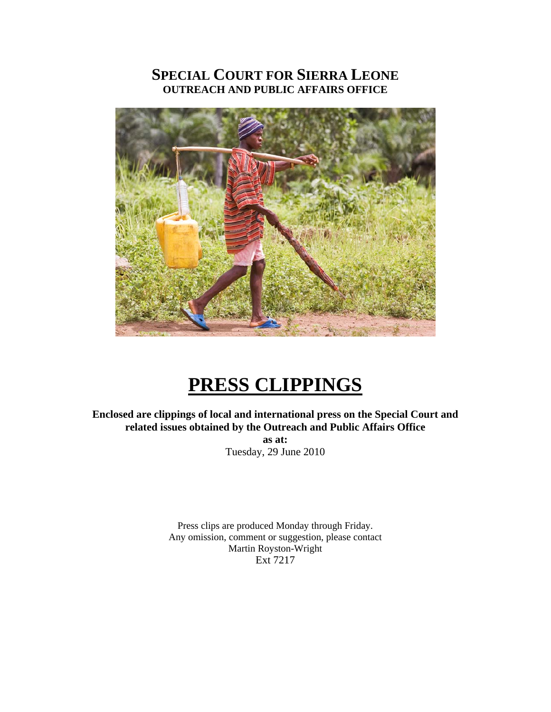# **SPECIAL COURT FOR SIERRA LEONE OUTREACH AND PUBLIC AFFAIRS OFFICE**



# **PRESS CLIPPINGS**

**Enclosed are clippings of local and international press on the Special Court and related issues obtained by the Outreach and Public Affairs Office as at:**  Tuesday, 29 June 2010

> Press clips are produced Monday through Friday. Any omission, comment or suggestion, please contact Martin Royston-Wright Ext 7217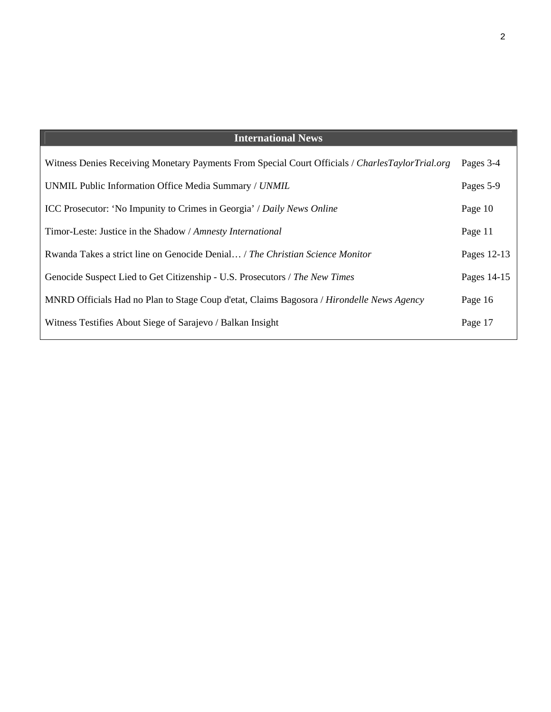### **International News**

| Witness Denies Receiving Monetary Payments From Special Court Officials / CharlesTaylorTrial.org | Pages 3-4   |
|--------------------------------------------------------------------------------------------------|-------------|
| UNMIL Public Information Office Media Summary / UNMIL                                            | Pages 5-9   |
| ICC Prosecutor: 'No Impunity to Crimes in Georgia' / Daily News Online                           | Page 10     |
| Timor-Leste: Justice in the Shadow / Amnesty International                                       | Page 11     |
| Rwanda Takes a strict line on Genocide Denial / The Christian Science Monitor                    | Pages 12-13 |
| Genocide Suspect Lied to Get Citizenship - U.S. Prosecutors / The New Times                      | Pages 14-15 |
| MNRD Officials Had no Plan to Stage Coup d'etat, Claims Bagosora / Hirondelle News Agency        | Page 16     |
| Witness Testifies About Siege of Sarajevo / Balkan Insight                                       | Page 17     |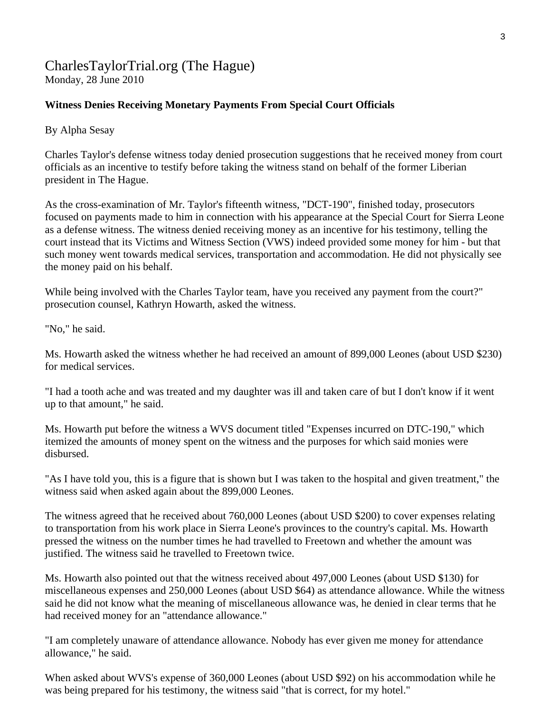### [CharlesTaylorTrial.org](http://www.charlestaylortrial.org/about/) (The Hague) Monday, 28 June 2010

### **Witness Denies Receiving Monetary Payments From Special Court Officials**

By Alpha Sesay

Charles Taylor's defense witness today denied prosecution suggestions that he received money from court officials as an incentive to testify before taking the witness stand on behalf of the former Liberian president in The Hague.

As the cross-examination of Mr. Taylor's fifteenth witness, "DCT-190", finished today, prosecutors focused on payments made to him in connection with his appearance at the Special Court for Sierra Leone as a defense witness. The witness denied receiving money as an incentive for his testimony, telling the court instead that its Victims and Witness Section (VWS) indeed provided some money for him - but that such money went towards medical services, transportation and accommodation. He did not physically see the money paid on his behalf.

While being involved with the Charles Taylor team, have you received any payment from the court?" prosecution counsel, Kathryn Howarth, asked the witness.

"No," he said.

Ms. Howarth asked the witness whether he had received an amount of 899,000 Leones (about USD \$230) for medical services.

"I had a tooth ache and was treated and my daughter was ill and taken care of but I don't know if it went up to that amount," he said.

Ms. Howarth put before the witness a WVS document titled "Expenses incurred on DTC-190," which itemized the amounts of money spent on the witness and the purposes for which said monies were disbursed.

"As I have told you, this is a figure that is shown but I was taken to the hospital and given treatment," the witness said when asked again about the 899,000 Leones.

The witness agreed that he received about 760,000 Leones (about USD \$200) to cover expenses relating to transportation from his work place in Sierra Leone's provinces to the country's capital. Ms. Howarth pressed the witness on the number times he had travelled to Freetown and whether the amount was justified. The witness said he travelled to Freetown twice.

Ms. Howarth also pointed out that the witness received about 497,000 Leones (about USD \$130) for miscellaneous expenses and 250,000 Leones (about USD \$64) as attendance allowance. While the witness said he did not know what the meaning of miscellaneous allowance was, he denied in clear terms that he had received money for an "attendance allowance."

"I am completely unaware of attendance allowance. Nobody has ever given me money for attendance allowance," he said.

When asked about WVS's expense of 360,000 Leones (about USD \$92) on his accommodation while he was being prepared for his testimony, the witness said "that is correct, for my hotel."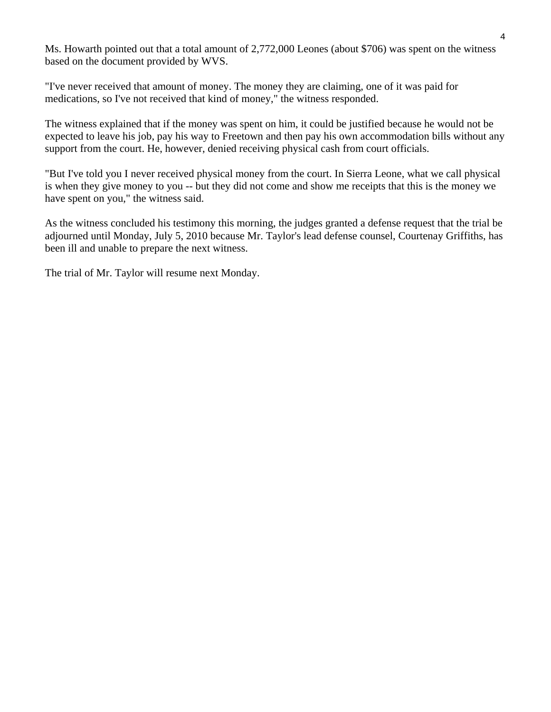Ms. Howarth pointed out that a total amount of 2,772,000 Leones (about \$706) was spent on the witness based on the document provided by WVS.

"I've never received that amount of money. The money they are claiming, one of it was paid for medications, so I've not received that kind of money," the witness responded.

The witness explained that if the money was spent on him, it could be justified because he would not be expected to leave his job, pay his way to Freetown and then pay his own accommodation bills without any support from the court. He, however, denied receiving physical cash from court officials.

"But I've told you I never received physical money from the court. In Sierra Leone, what we call physical is when they give money to you -- but they did not come and show me receipts that this is the money we have spent on you," the witness said.

As the witness concluded his testimony this morning, the judges granted a defense request that the trial be adjourned until Monday, July 5, 2010 because Mr. Taylor's lead defense counsel, Courtenay Griffiths, has been ill and unable to prepare the next witness.

The trial of Mr. Taylor will resume next Monday.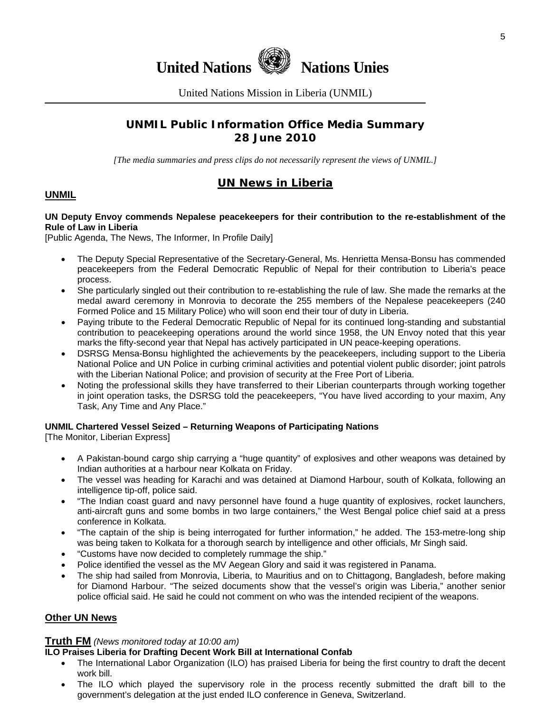

United Nations Mission in Liberia (UNMIL)

### **UNMIL Public Information Office Media Summary 28 June 2010**

*[The media summaries and press clips do not necessarily represent the views of UNMIL.]* 

### **UN News in Liberia**

### **UNMIL**

#### **UN Deputy Envoy commends Nepalese peacekeepers for their contribution to the re-establishment of the Rule of Law in Liberia**

[Public Agenda, The News, The Informer, In Profile Daily]

- The Deputy Special Representative of the Secretary-General, Ms. Henrietta Mensa-Bonsu has commended peacekeepers from the Federal Democratic Republic of Nepal for their contribution to Liberia's peace process.
- She particularly singled out their contribution to re-establishing the rule of law. She made the remarks at the medal award ceremony in Monrovia to decorate the 255 members of the Nepalese peacekeepers (240 Formed Police and 15 Military Police) who will soon end their tour of duty in Liberia.
- Paying tribute to the Federal Democratic Republic of Nepal for its continued long-standing and substantial contribution to peacekeeping operations around the world since 1958, the UN Envoy noted that this year marks the fifty-second year that Nepal has actively participated in UN peace-keeping operations.
- DSRSG Mensa-Bonsu highlighted the achievements by the peacekeepers, including support to the Liberia National Police and UN Police in curbing criminal activities and potential violent public disorder; joint patrols with the Liberian National Police; and provision of security at the Free Port of Liberia.
- Noting the professional skills they have transferred to their Liberian counterparts through working together in joint operation tasks, the DSRSG told the peacekeepers, "You have lived according to your maxim, Any Task, Any Time and Any Place."

#### **UNMIL Chartered Vessel Seized – Returning Weapons of Participating Nations**

[The Monitor, Liberian Express]

- A Pakistan-bound cargo ship carrying a "huge quantity" of explosives and other weapons was detained by Indian authorities at a harbour near Kolkata on Friday.
- The vessel was heading for Karachi and was detained at Diamond Harbour, south of Kolkata, following an intelligence tip-off, police said.
- "The Indian coast guard and navy personnel have found a huge quantity of explosives, rocket launchers, anti-aircraft guns and some bombs in two large containers," the West Bengal police chief said at a press conference in Kolkata.
- "The captain of the ship is being interrogated for further information," he added. The 153-metre-long ship was being taken to Kolkata for a thorough search by intelligence and other officials, Mr Singh said.
- "Customs have now decided to completely rummage the ship."
- Police identified the vessel as the MV Aegean Glory and said it was registered in Panama.
- The ship had sailed from Monrovia, Liberia, to Mauritius and on to Chittagong, Bangladesh, before making for Diamond Harbour. "The seized documents show that the vessel's origin was Liberia," another senior police official said. He said he could not comment on who was the intended recipient of the weapons.

#### **Other UN News**

#### **Truth FM** *(News monitored today at 10:00 am)*

#### **ILO Praises Liberia for Drafting Decent Work Bill at International Confab**

- The International Labor Organization (ILO) has praised Liberia for being the first country to draft the decent work bill.
- The ILO which played the supervisory role in the process recently submitted the draft bill to the government's delegation at the just ended ILO conference in Geneva, Switzerland.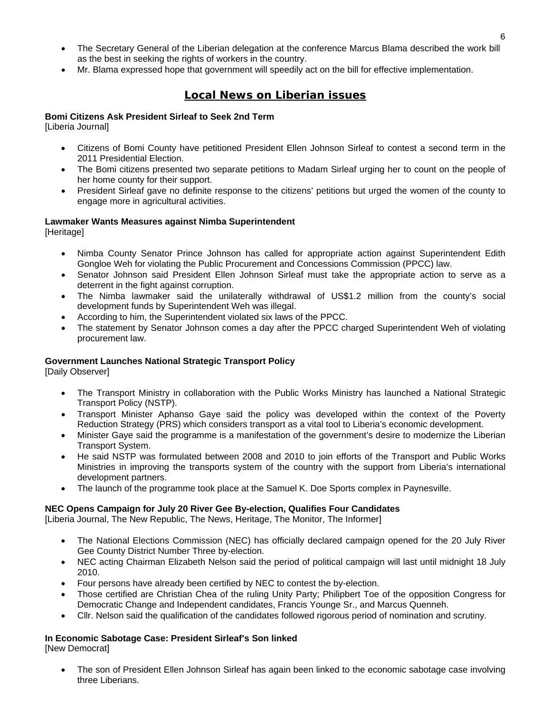- The Secretary General of the Liberian delegation at the conference Marcus Blama described the work bill as the best in seeking the rights of workers in the country.
- Mr. Blama expressed hope that government will speedily act on the bill for effective implementation.

### **Local News on Liberian issues**

#### **Bomi Citizens Ask President Sirleaf to Seek 2nd Term**

[Liberia Journal]

- Citizens of Bomi County have petitioned President Ellen Johnson Sirleaf to contest a second term in the 2011 Presidential Election.
- The Bomi citizens presented two separate petitions to Madam Sirleaf urging her to count on the people of her home county for their support.
- President Sirleaf gave no definite response to the citizens' petitions but urged the women of the county to engage more in agricultural activities.

# **Lawmaker Wants Measures against Nimba Superintendent**

[Heritage]

- Nimba County Senator Prince Johnson has called for appropriate action against Superintendent Edith Gongloe Weh for violating the Public Procurement and Concessions Commission (PPCC) law.
- Senator Johnson said President Ellen Johnson Sirleaf must take the appropriate action to serve as a deterrent in the fight against corruption.
- The Nimba lawmaker said the unilaterally withdrawal of US\$1.2 million from the county's social development funds by Superintendent Weh was illegal.
- According to him, the Superintendent violated six laws of the PPCC.
- The statement by Senator Johnson comes a day after the PPCC charged Superintendent Weh of violating procurement law.

#### **Government Launches National Strategic Transport Policy**

[Daily Observer]

- The Transport Ministry in collaboration with the Public Works Ministry has launched a National Strategic Transport Policy (NSTP).
- Transport Minister Aphanso Gaye said the policy was developed within the context of the Poverty Reduction Strategy (PRS) which considers transport as a vital tool to Liberia's economic development.
- Minister Gaye said the programme is a manifestation of the government's desire to modernize the Liberian Transport System.
- He said NSTP was formulated between 2008 and 2010 to join efforts of the Transport and Public Works Ministries in improving the transports system of the country with the support from Liberia's international development partners.
- The launch of the programme took place at the Samuel K. Doe Sports complex in Paynesville.

#### **NEC Opens Campaign for July 20 River Gee By-election, Qualifies Four Candidates**

[Liberia Journal, The New Republic, The News, Heritage, The Monitor, The Informer]

- The National Elections Commission (NEC) has officially declared campaign opened for the 20 July River Gee County District Number Three by-election.
- NEC acting Chairman Elizabeth Nelson said the period of political campaign will last until midnight 18 July 2010.
- Four persons have already been certified by NEC to contest the by-election.
- Those certified are Christian Chea of the ruling Unity Party; Philipbert Toe of the opposition Congress for Democratic Change and Independent candidates, Francis Younge Sr., and Marcus Quenneh.
- Cllr. Nelson said the qualification of the candidates followed rigorous period of nomination and scrutiny.

# **In Economic Sabotage Case: President Sirleaf's Son linked**

[New Democrat]

• The son of President Ellen Johnson Sirleaf has again been linked to the economic sabotage case involving three Liberians.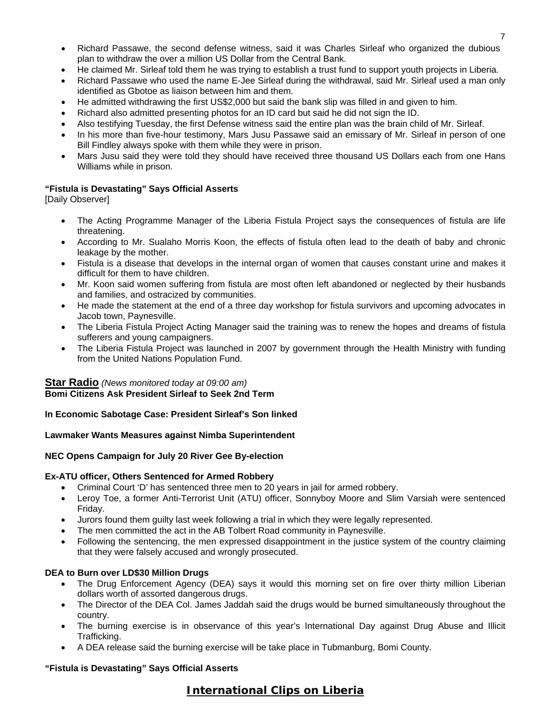- Richard Passawe, the second defense witness, said it was Charles Sirleaf who organized the dubious plan to withdraw the over a million US Dollar from the Central Bank.
- He claimed Mr. Sirleaf told them he was trying to establish a trust fund to support youth projects in Liberia.
- Richard Passawe who used the name E-Jee Sirleaf during the withdrawal, said Mr. Sirleaf used a man only identified as Gbotoe as liaison between him and them.
- He admitted withdrawing the first US\$2,000 but said the bank slip was filled in and given to him.
- Richard also admitted presenting photos for an ID card but said he did not sign the ID.
- Also testifying Tuesday, the first Defense witness said the entire plan was the brain child of Mr. Sirleaf.
- In his more than five-hour testimony, Mars Jusu Passawe said an emissary of Mr. Sirleaf in person of one Bill Findley always spoke with them while they were in prison.
- Mars Jusu said they were told they should have received three thousand US Dollars each from one Hans Williams while in prison.

#### **"Fistula is Devastating" Says Official Asserts**

[Daily Observer]

- The Acting Programme Manager of the Liberia Fistula Project says the consequences of fistula are life threatening.
- According to Mr. Sualaho Morris Koon, the effects of fistula often lead to the death of baby and chronic leakage by the mother.
- Fistula is a disease that develops in the internal organ of women that causes constant urine and makes it difficult for them to have children.
- Mr. Koon said women suffering from fistula are most often left abandoned or neglected by their husbands and families, and ostracized by communities.
- He made the statement at the end of a three day workshop for fistula survivors and upcoming advocates in Jacob town, Paynesville.
- The Liberia Fistula Project Acting Manager said the training was to renew the hopes and dreams of fistula sufferers and young campaigners.
- The Liberia Fistula Project was launched in 2007 by government through the Health Ministry with funding from the United Nations Population Fund.

#### **Star Radio** *(News monitored today at 09:00 am)* **Bomi Citizens Ask President Sirleaf to Seek 2nd Term**

**In Economic Sabotage Case: President Sirleaf's Son linked** 

#### **Lawmaker Wants Measures against Nimba Superintendent**

#### **NEC Opens Campaign for July 20 River Gee By-election**

#### **Ex-ATU officer, Others Sentenced for Armed Robbery**

- Criminal Court 'D' has sentenced three men to 20 years in jail for armed robbery.
- Leroy Toe, a former Anti-Terrorist Unit (ATU) officer, Sonnyboy Moore and Slim Varsiah were sentenced Friday.
- Jurors found them guilty last week following a trial in which they were legally represented.
- The men committed the act in the AB Tolbert Road community in Paynesville.
- Following the sentencing, the men expressed disappointment in the justice system of the country claiming that they were falsely accused and wrongly prosecuted.

#### **DEA to Burn over LD\$30 Million Drugs**

- The Drug Enforcement Agency (DEA) says it would this morning set on fire over thirty million Liberian dollars worth of assorted dangerous drugs.
- The Director of the DEA Col. James Jaddah said the drugs would be burned simultaneously throughout the country.
- The burning exercise is in observance of this year's International Day against Drug Abuse and Illicit Trafficking.
- A DEA release said the burning exercise will be take place in Tubmanburg, Bomi County.

#### **"Fistula is Devastating" Says Official Asserts**

### **International Clips on Liberia**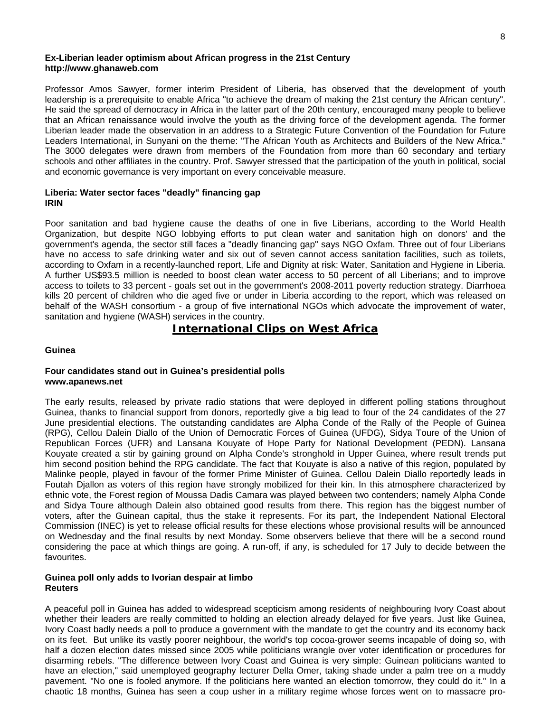#### **Ex-Liberian leader optimism about African progress in the 21st Century http://www.ghanaweb.com**

Professor Amos Sawyer, former interim President of Liberia, has observed that the development of youth leadership is a prerequisite to enable Africa "to achieve the dream of making the 21st century the African century". He said the spread of democracy in Africa in the latter part of the 20th century, encouraged many people to believe that an African renaissance would involve the youth as the driving force of the development agenda. The former Liberian leader made the observation in an address to a Strategic Future Convention of the Foundation for Future Leaders International, in Sunyani on the theme: "The African Youth as Architects and Builders of the New Africa." The 3000 delegates were drawn from members of the Foundation from more than 60 secondary and tertiary schools and other affiliates in the country. Prof. Sawyer stressed that the participation of the youth in political, social and economic governance is very important on every conceivable measure.

#### **Liberia: Water sector faces "deadly" financing gap IRIN**

Poor sanitation and bad hygiene cause the deaths of one in five Liberians, according to the World Health Organization, but despite NGO lobbying efforts to put clean water and sanitation high on donors' and the government's agenda, the sector still faces a "deadly financing gap" says NGO Oxfam. Three out of four Liberians have no access to safe drinking water and six out of seven cannot access sanitation facilities, such as toilets, according to Oxfam in a recently-launched report, Life and Dignity at risk: Water, Sanitation and Hygiene in Liberia. A further US\$93.5 million is needed to boost clean water access to 50 percent of all Liberians; and to improve access to toilets to 33 percent - goals set out in the government's 2008-2011 poverty reduction strategy. Diarrhoea kills 20 percent of children who die aged five or under in Liberia according to the report, which was released on behalf of the WASH consortium - a group of five international NGOs which advocate the improvement of water, sanitation and hygiene (WASH) services in the country.

### **International Clips on West Africa**

#### **Guinea**

#### **Four candidates stand out in Guinea's presidential polls www.apanews.net**

The early results, released by private radio stations that were deployed in different polling stations throughout Guinea, thanks to financial support from donors, reportedly give a big lead to four of the 24 candidates of the 27 June presidential elections. The outstanding candidates are Alpha Conde of the Rally of the People of Guinea (RPG), Cellou Dalein Diallo of the Union of Democratic Forces of Guinea (UFDG), Sidya Toure of the Union of Republican Forces (UFR) and Lansana Kouyate of Hope Party for National Development (PEDN). Lansana Kouyate created a stir by gaining ground on Alpha Conde's stronghold in Upper Guinea, where result trends put him second position behind the RPG candidate. The fact that Kouyate is also a native of this region, populated by Malinke people, played in favour of the former Prime Minister of Guinea. Cellou Dalein Diallo reportedly leads in Foutah Djallon as voters of this region have strongly mobilized for their kin. In this atmosphere characterized by ethnic vote, the Forest region of Moussa Dadis Camara was played between two contenders; namely Alpha Conde and Sidya Toure although Dalein also obtained good results from there. This region has the biggest number of voters, after the Guinean capital, thus the stake it represents. For its part, the Independent National Electoral Commission (INEC) is yet to release official results for these elections whose provisional results will be announced on Wednesday and the final results by next Monday. Some observers believe that there will be a second round considering the pace at which things are going. A run-off, if any, is scheduled for 17 July to decide between the favourites.

#### **Guinea poll only adds to Ivorian despair at limbo Reuters**

A peaceful poll in Guinea has added to widespread scepticism among residents of neighbouring Ivory Coast about whether their leaders are really committed to holding an election already delayed for five years. Just like Guinea, Ivory Coast badly needs a poll to produce a government with the mandate to get the country and its economy back on its feet. But unlike its vastly poorer neighbour, the world's top cocoa-grower seems incapable of doing so, with half a dozen election dates missed since 2005 while politicians wrangle over voter identification or procedures for disarming rebels. "The difference between Ivory Coast and Guinea is very simple: Guinean politicians wanted to have an election," said unemployed geography lecturer Della Omer, taking shade under a palm tree on a muddy pavement. "No one is fooled anymore. If the politicians here wanted an election tomorrow, they could do it." In a chaotic 18 months, Guinea has seen a coup usher in a military regime whose forces went on to massacre pro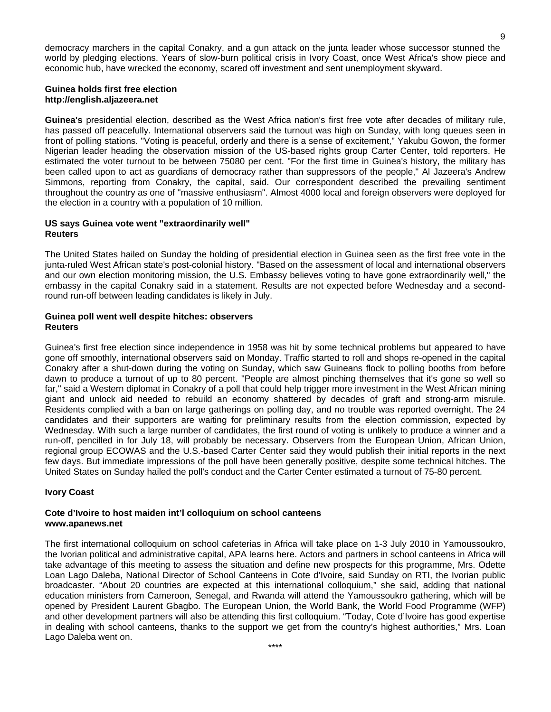democracy marchers in the capital Conakry, and a gun attack on the junta leader whose successor stunned the world by pledging elections. Years of slow-burn political crisis in Ivory Coast, once West Africa's show piece and economic hub, have wrecked the economy, scared off investment and sent unemployment skyward.

#### **Guinea holds first free election http://english.aljazeera.net**

**Guinea's** presidential election, described as the West Africa nation's first free vote after decades of military rule, has passed off peacefully. International observers said the turnout was high on Sunday, with long queues seen in front of polling stations. "Voting is peaceful, orderly and there is a sense of excitement," Yakubu Gowon, the former Nigerian leader heading the observation mission of the US-based rights group Carter Center, told reporters. He estimated the voter turnout to be between 75080 per cent. "For the first time in Guinea's history, the military has been called upon to act as guardians of democracy rather than suppressors of the people," Al Jazeera's Andrew Simmons, reporting from Conakry, the capital, said. Our correspondent described the prevailing sentiment throughout the country as one of "massive enthusiasm". Almost 4000 local and foreign observers were deployed for the election in a country with a population of 10 million.

#### **US says Guinea vote went "extraordinarily well" Reuters**

The United States hailed on Sunday the holding of presidential election in Guinea seen as the first free vote in the junta-ruled West African state's post-colonial history. "Based on the assessment of local and international observers and our own election monitoring mission, the U.S. Embassy believes voting to have gone extraordinarily well," the embassy in the capital Conakry said in a statement. Results are not expected before Wednesday and a secondround run-off between leading candidates is likely in July.

#### **Guinea poll went well despite hitches: observers Reuters**

Guinea's first free election since independence in 1958 was hit by some technical problems but appeared to have gone off smoothly, international observers said on Monday. Traffic started to roll and shops re-opened in the capital Conakry after a shut-down during the voting on Sunday, which saw Guineans flock to polling booths from before dawn to produce a turnout of up to 80 percent. "People are almost pinching themselves that it's gone so well so far," said a Western diplomat in Conakry of a poll that could help trigger more investment in the West African mining giant and unlock aid needed to rebuild an economy shattered by decades of graft and strong-arm misrule. Residents complied with a ban on large gatherings on polling day, and no trouble was reported overnight. The 24 candidates and their supporters are waiting for preliminary results from the election commission, expected by Wednesday. With such a large number of candidates, the first round of voting is unlikely to produce a winner and a run-off, pencilled in for July 18, will probably be necessary. Observers from the European Union, African Union, regional group ECOWAS and the U.S.-based Carter Center said they would publish their initial reports in the next few days. But immediate impressions of the poll have been generally positive, despite some technical hitches. The United States on Sunday hailed the poll's conduct and the Carter Center estimated a turnout of 75-80 percent.

#### **Ivory Coast**

#### **Cote d'Ivoire to host maiden int'l colloquium on school canteens www.apanews.net**

The first international colloquium on school cafeterias in Africa will take place on 1-3 July 2010 in Yamoussoukro, the Ivorian political and administrative capital, APA learns here. Actors and partners in school canteens in Africa will take advantage of this meeting to assess the situation and define new prospects for this programme, Mrs. Odette Loan Lago Daleba, National Director of School Canteens in Cote d'Ivoire, said Sunday on RTI, the Ivorian public broadcaster. "About 20 countries are expected at this international colloquium," she said, adding that national education ministers from Cameroon, Senegal, and Rwanda will attend the Yamoussoukro gathering, which will be opened by President Laurent Gbagbo. The European Union, the World Bank, the World Food Programme (WFP) and other development partners will also be attending this first colloquium. "Today, Cote d'Ivoire has good expertise in dealing with school canteens, thanks to the support we get from the country's highest authorities," Mrs. Loan Lago Daleba went on.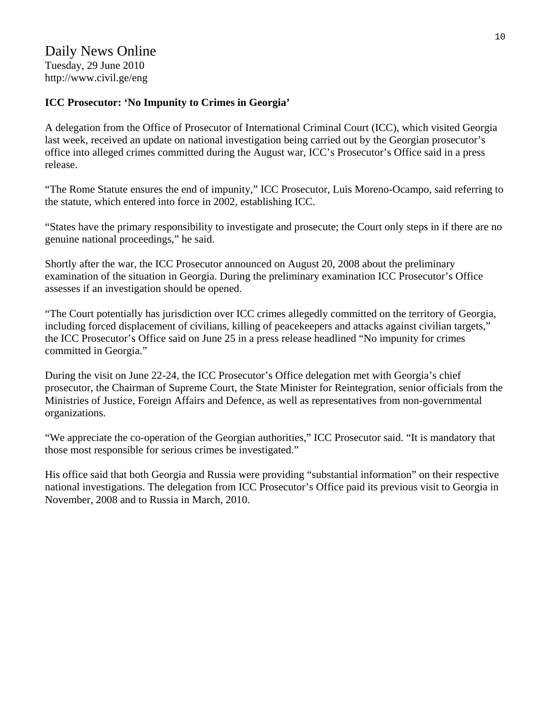## Daily News Online Tuesday, 29 June 2010 http://www.civil.ge/eng

### **ICC Prosecutor: 'No Impunity to Crimes in Georgia'**

A delegation from the Office of Prosecutor of International Criminal Court (ICC), which visited Georgia last week, received an update on national investigation being carried out by the Georgian prosecutor's office into alleged crimes committed during the August war, ICC's Prosecutor's Office said in a press release.

"The Rome Statute ensures the end of impunity," ICC Prosecutor, Luis Moreno-Ocampo, said referring to the statute, which entered into force in 2002, establishing ICC.

"States have the primary responsibility to investigate and prosecute; the Court only steps in if there are no genuine national proceedings," he said.

Shortly after the war, the ICC Prosecutor announced on August 20, 2008 about the preliminary examination of the situation in Georgia. During the preliminary examination ICC Prosecutor's Office assesses if an investigation should be opened.

"The Court potentially has jurisdiction over ICC crimes allegedly committed on the territory of Georgia, including forced displacement of civilians, killing of peacekeepers and attacks against civilian targets," the ICC Prosecutor's Office said on June 25 in a press release headlined "No impunity for crimes committed in Georgia."

During the visit on June 22-24, the ICC Prosecutor's Office delegation met with Georgia's chief prosecutor, the Chairman of Supreme Court, the State Minister for Reintegration, senior officials from the Ministries of Justice, Foreign Affairs and Defence, as well as representatives from non-governmental organizations.

"We appreciate the co-operation of the Georgian authorities," ICC Prosecutor said. "It is mandatory that those most responsible for serious crimes be investigated."

His office said that both Georgia and Russia were providing "substantial information" on their respective national investigations. The delegation from ICC Prosecutor's Office paid its previous visit to Georgia in November, 2008 and to Russia in March, 2010.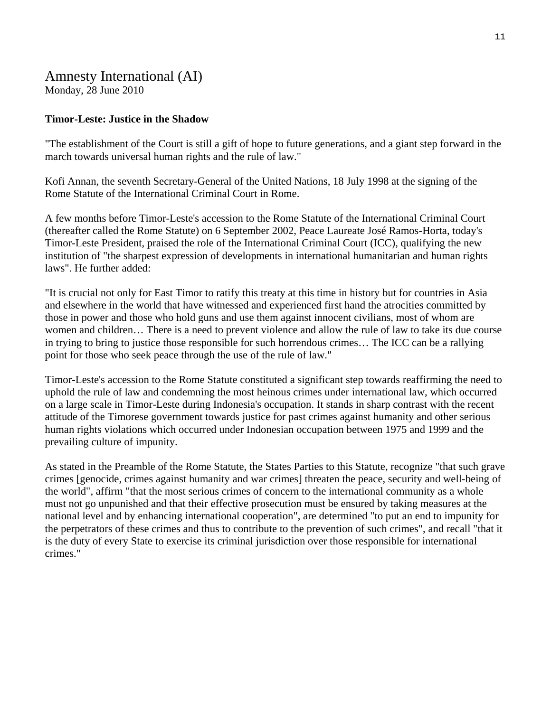### Amnesty International (AI) Monday, 28 June 2010

### **Timor-Leste: Justice in the Shadow**

"The establishment of the Court is still a gift of hope to future generations, and a giant step forward in the march towards universal human rights and the rule of law."

Kofi Annan, the seventh Secretary-General of the United Nations, 18 July 1998 at the signing of the Rome Statute of the International Criminal Court in Rome.

A few months before Timor-Leste's accession to the Rome Statute of the International Criminal Court (thereafter called the Rome Statute) on 6 September 2002, Peace Laureate José Ramos-Horta, today's Timor-Leste President, praised the role of the International Criminal Court (ICC), qualifying the new institution of "the sharpest expression of developments in international humanitarian and human rights laws". He further added:

"It is crucial not only for East Timor to ratify this treaty at this time in history but for countries in Asia and elsewhere in the world that have witnessed and experienced first hand the atrocities committed by those in power and those who hold guns and use them against innocent civilians, most of whom are women and children… There is a need to prevent violence and allow the rule of law to take its due course in trying to bring to justice those responsible for such horrendous crimes… The ICC can be a rallying point for those who seek peace through the use of the rule of law."

Timor-Leste's accession to the Rome Statute constituted a significant step towards reaffirming the need to uphold the rule of law and condemning the most heinous crimes under international law, which occurred on a large scale in Timor-Leste during Indonesia's occupation. It stands in sharp contrast with the recent attitude of the Timorese government towards justice for past crimes against humanity and other serious human rights violations which occurred under Indonesian occupation between 1975 and 1999 and the prevailing culture of impunity.

As stated in the Preamble of the Rome Statute, the States Parties to this Statute, recognize "that such grave crimes [genocide, crimes against humanity and war crimes] threaten the peace, security and well-being of the world", affirm "that the most serious crimes of concern to the international community as a whole must not go unpunished and that their effective prosecution must be ensured by taking measures at the national level and by enhancing international cooperation", are determined "to put an end to impunity for the perpetrators of these crimes and thus to contribute to the prevention of such crimes", and recall "that it is the duty of every State to exercise its criminal jurisdiction over those responsible for international crimes."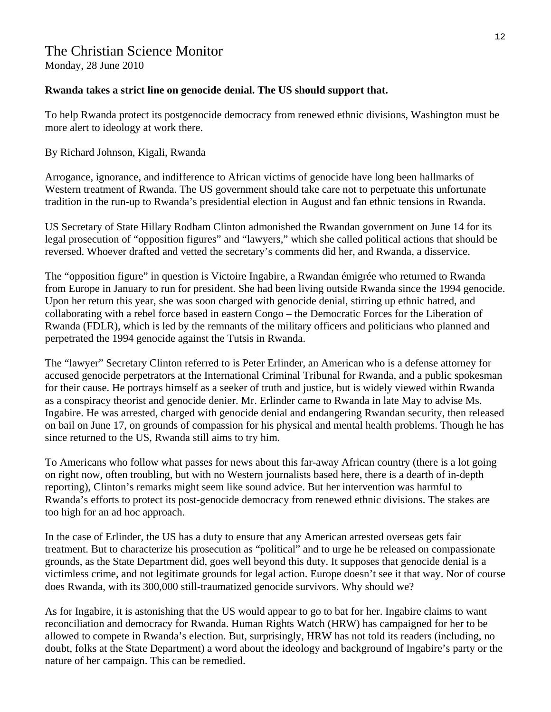# The Christian Science Monitor

Monday, 28 June 2010

### **Rwanda takes a strict line on genocide denial. The US should support that.**

To help Rwanda protect its postgenocide democracy from renewed ethnic divisions, Washington must be more alert to ideology at work there.

### By Richard Johnson, Kigali, Rwanda

Arrogance, ignorance, and indifference to African victims of genocide have long been hallmarks of Western treatment of Rwanda. The US government should take care not to perpetuate this unfortunate tradition in the run-up to Rwanda's presidential election in August and fan ethnic tensions in Rwanda.

US Secretary of State Hillary Rodham Clinton admonished the Rwandan government on June 14 for its legal prosecution of "opposition figures" and "lawyers," which she called political actions that should be reversed. Whoever drafted and vetted the secretary's comments did her, and Rwanda, a disservice.

The "opposition figure" in question is Victoire Ingabire, a Rwandan émigrée who returned to Rwanda from Europe in January to run for president. She had been living outside Rwanda since the 1994 genocide. Upon her return this year, she was soon charged with genocide denial, stirring up ethnic hatred, and collaborating with a rebel force based in eastern Congo – the Democratic Forces for the Liberation of Rwanda (FDLR), which is led by the remnants of the military officers and politicians who planned and perpetrated the 1994 genocide against the Tutsis in Rwanda.

The "lawyer" Secretary Clinton referred to is Peter Erlinder, an American who is a defense attorney for accused genocide perpetrators at the International Criminal Tribunal for Rwanda, and a public spokesman for their cause. He portrays himself as a seeker of truth and justice, but is widely viewed within Rwanda as a conspiracy theorist and genocide denier. Mr. Erlinder came to Rwanda in late May to advise Ms. Ingabire. He was arrested, charged with genocide denial and endangering Rwandan security, then released on bail on June 17, on grounds of compassion for his physical and mental health problems. Though he has since returned to the US, Rwanda still aims to try him.

To Americans who follow what passes for news about this far-away African country (there is a lot going on right now, often troubling, but with no Western journalists based here, there is a dearth of in-depth reporting), Clinton's remarks might seem like sound advice. But her intervention was harmful to Rwanda's efforts to protect its post-genocide democracy from renewed ethnic divisions. The stakes are too high for an ad hoc approach.

In the case of Erlinder, the US has a duty to ensure that any American arrested overseas gets fair treatment. But to characterize his prosecution as "political" and to urge he be released on compassionate grounds, as the State Department did, goes well beyond this duty. It supposes that genocide denial is a victimless crime, and not legitimate grounds for legal action. Europe doesn't see it that way. Nor of course does Rwanda, with its 300,000 still-traumatized genocide survivors. Why should we?

As for Ingabire, it is astonishing that the US would appear to go to bat for her. Ingabire claims to want reconciliation and democracy for Rwanda. Human Rights Watch (HRW) has campaigned for her to be allowed to compete in Rwanda's election. But, surprisingly, HRW has not told its readers (including, no doubt, folks at the State Department) a word about the ideology and background of Ingabire's party or the nature of her campaign. This can be remedied.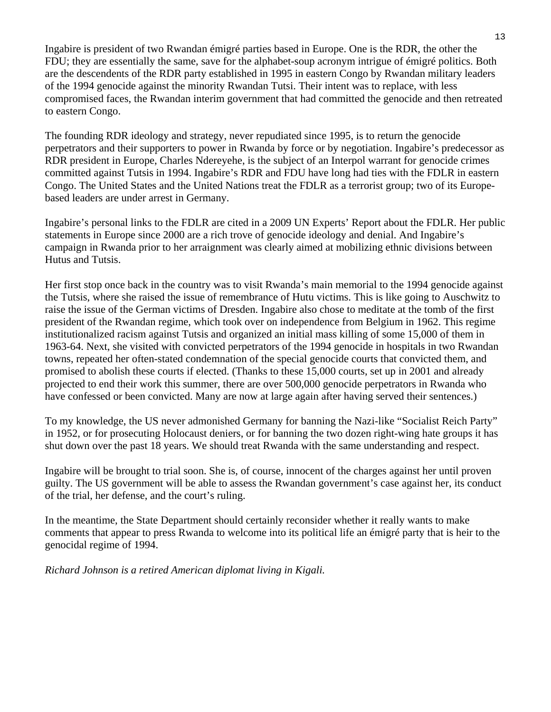Ingabire is president of two Rwandan émigré parties based in Europe. One is the RDR, the other the FDU; they are essentially the same, save for the alphabet-soup acronym intrigue of émigré politics. Both are the descendents of the RDR party established in 1995 in eastern Congo by Rwandan military leaders of the 1994 genocide against the minority Rwandan Tutsi. Their intent was to replace, with less compromised faces, the Rwandan interim government that had committed the genocide and then retreated to eastern Congo.

The founding RDR ideology and strategy, never repudiated since 1995, is to return the genocide perpetrators and their supporters to power in Rwanda by force or by negotiation. Ingabire's predecessor as RDR president in Europe, Charles Ndereyehe, is the subject of an Interpol warrant for genocide crimes committed against Tutsis in 1994. Ingabire's RDR and FDU have long had ties with the FDLR in eastern Congo. The United States and the United Nations treat the FDLR as a terrorist group; two of its Europebased leaders are under arrest in Germany.

Ingabire's personal links to the FDLR are cited in a 2009 UN Experts' Report about the FDLR. Her public statements in Europe since 2000 are a rich trove of genocide ideology and denial. And Ingabire's campaign in Rwanda prior to her arraignment was clearly aimed at mobilizing ethnic divisions between Hutus and Tutsis.

Her first stop once back in the country was to visit Rwanda's main memorial to the 1994 genocide against the Tutsis, where she raised the issue of remembrance of Hutu victims. This is like going to Auschwitz to raise the issue of the German victims of Dresden. Ingabire also chose to meditate at the tomb of the first president of the Rwandan regime, which took over on independence from Belgium in 1962. This regime institutionalized racism against Tutsis and organized an initial mass killing of some 15,000 of them in 1963-64. Next, she visited with convicted perpetrators of the 1994 genocide in hospitals in two Rwandan towns, repeated her often-stated condemnation of the special genocide courts that convicted them, and promised to abolish these courts if elected. (Thanks to these 15,000 courts, set up in 2001 and already projected to end their work this summer, there are over 500,000 genocide perpetrators in Rwanda who have confessed or been convicted. Many are now at large again after having served their sentences.)

To my knowledge, the US never admonished Germany for banning the Nazi-like "Socialist Reich Party" in 1952, or for prosecuting Holocaust deniers, or for banning the two dozen right-wing hate groups it has shut down over the past 18 years. We should treat Rwanda with the same understanding and respect.

Ingabire will be brought to trial soon. She is, of course, innocent of the charges against her until proven guilty. The US government will be able to assess the Rwandan government's case against her, its conduct of the trial, her defense, and the court's ruling.

In the meantime, the State Department should certainly reconsider whether it really wants to make comments that appear to press Rwanda to welcome into its political life an émigré party that is heir to the genocidal regime of 1994.

*Richard Johnson is a retired American diplomat living in Kigali.*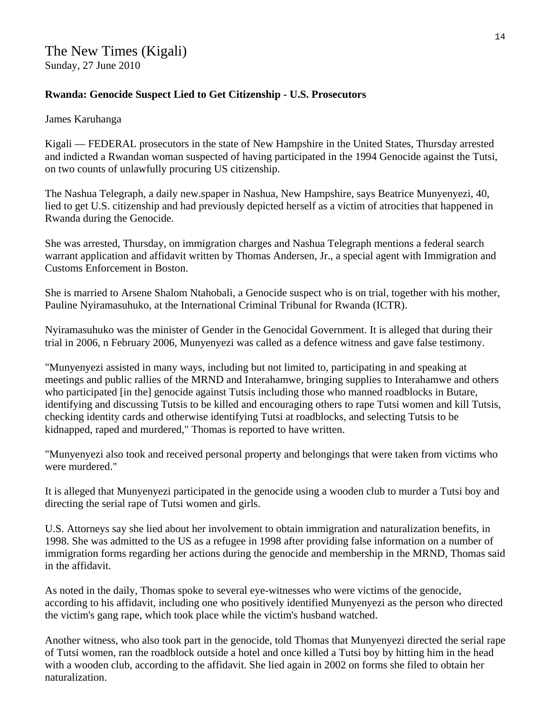### **Rwanda: Genocide Suspect Lied to Get Citizenship - U.S. Prosecutors**

### James Karuhanga

Kigali — FEDERAL prosecutors in the state of New Hampshire in the United States, Thursday arrested and indicted a Rwandan woman suspected of having participated in the 1994 Genocide against the Tutsi, on two counts of unlawfully procuring US citizenship.

The Nashua Telegraph, a daily new.spaper in Nashua, New Hampshire, says Beatrice Munyenyezi, 40, lied to get U.S. citizenship and had previously depicted herself as a victim of atrocities that happened in Rwanda during the Genocide.

She was arrested, Thursday, on immigration charges and Nashua Telegraph mentions a federal search warrant application and affidavit written by Thomas Andersen, Jr., a special agent with Immigration and Customs Enforcement in Boston.

She is married to Arsene Shalom Ntahobali, a Genocide suspect who is on trial, together with his mother, Pauline Nyiramasuhuko, at the International Criminal Tribunal for Rwanda (ICTR).

Nyiramasuhuko was the minister of Gender in the Genocidal Government. It is alleged that during their trial in 2006, n February 2006, Munyenyezi was called as a defence witness and gave false testimony.

"Munyenyezi assisted in many ways, including but not limited to, participating in and speaking at meetings and public rallies of the MRND and Interahamwe, bringing supplies to Interahamwe and others who participated [in the] genocide against Tutsis including those who manned roadblocks in Butare, identifying and discussing Tutsis to be killed and encouraging others to rape Tutsi women and kill Tutsis, checking identity cards and otherwise identifying Tutsi at roadblocks, and selecting Tutsis to be kidnapped, raped and murdered," Thomas is reported to have written.

"Munyenyezi also took and received personal property and belongings that were taken from victims who were murdered."

It is alleged that Munyenyezi participated in the genocide using a wooden club to murder a Tutsi boy and directing the serial rape of Tutsi women and girls.

U.S. Attorneys say she lied about her involvement to obtain immigration and naturalization benefits, in 1998. She was admitted to the US as a refugee in 1998 after providing false information on a number of immigration forms regarding her actions during the genocide and membership in the MRND, Thomas said in the affidavit.

As noted in the daily, Thomas spoke to several eye-witnesses who were victims of the genocide, according to his affidavit, including one who positively identified Munyenyezi as the person who directed the victim's gang rape, which took place while the victim's husband watched.

Another witness, who also took part in the genocide, told Thomas that Munyenyezi directed the serial rape of Tutsi women, ran the roadblock outside a hotel and once killed a Tutsi boy by hitting him in the head with a wooden club, according to the affidavit. She lied again in 2002 on forms she filed to obtain her naturalization.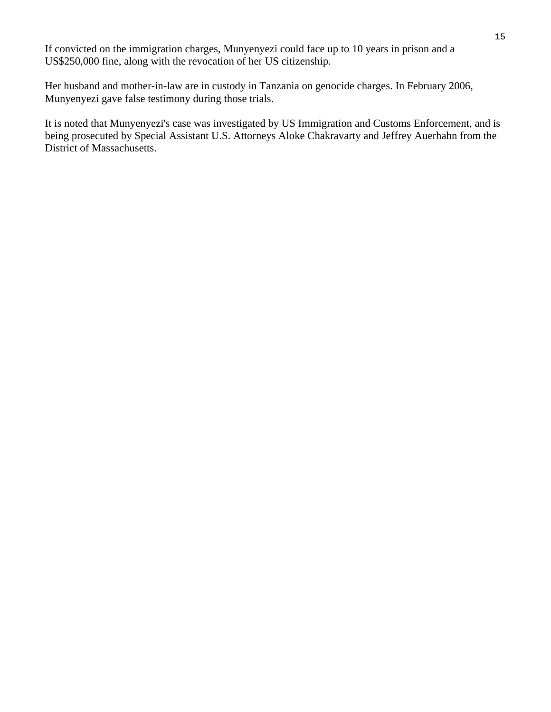If convicted on the immigration charges, Munyenyezi could face up to 10 years in prison and a US\$250,000 fine, along with the revocation of her US citizenship.

Her husband and mother-in-law are in custody in Tanzania on genocide charges. In February 2006, Munyenyezi gave false testimony during those trials.

It is noted that Munyenyezi's case was investigated by US Immigration and Customs Enforcement, and is being prosecuted by Special Assistant U.S. Attorneys Aloke Chakravarty and Jeffrey Auerhahn from the District of Massachusetts.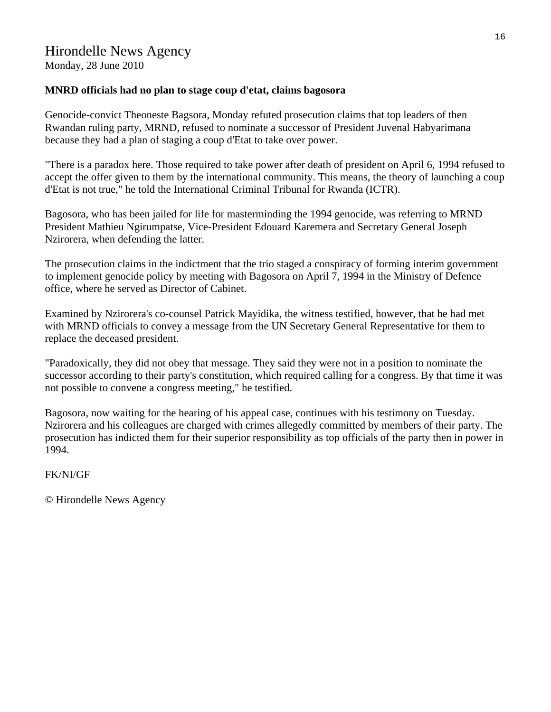Monday, 28 June 2010

### **MNRD officials had no plan to stage coup d'etat, claims bagosora**

Genocide-convict Theoneste Bagsora, Monday refuted prosecution claims that top leaders of then Rwandan ruling party, MRND, refused to nominate a successor of President Juvenal Habyarimana because they had a plan of staging a coup d'Etat to take over power.

"There is a paradox here. Those required to take power after death of president on April 6, 1994 refused to accept the offer given to them by the international community. This means, the theory of launching a coup d'Etat is not true," he told the International Criminal Tribunal for Rwanda (ICTR).

Bagosora, who has been jailed for life for masterminding the 1994 genocide, was referring to MRND President Mathieu Ngirumpatse, Vice-President Edouard Karemera and Secretary General Joseph Nzirorera, when defending the latter.

The prosecution claims in the indictment that the trio staged a conspiracy of forming interim government to implement genocide policy by meeting with Bagosora on April 7, 1994 in the Ministry of Defence office, where he served as Director of Cabinet.

Examined by Nzirorera's co-counsel Patrick Mayidika, the witness testified, however, that he had met with MRND officials to convey a message from the UN Secretary General Representative for them to replace the deceased president.

"Paradoxically, they did not obey that message. They said they were not in a position to nominate the successor according to their party's constitution, which required calling for a congress. By that time it was not possible to convene a congress meeting," he testified.

Bagosora, now waiting for the hearing of his appeal case, continues with his testimony on Tuesday. Nzirorera and his colleagues are charged with crimes allegedly committed by members of their party. The prosecution has indicted them for their superior responsibility as top officials of the party then in power in 1994.

FK/NI/GF

© Hirondelle News Agency